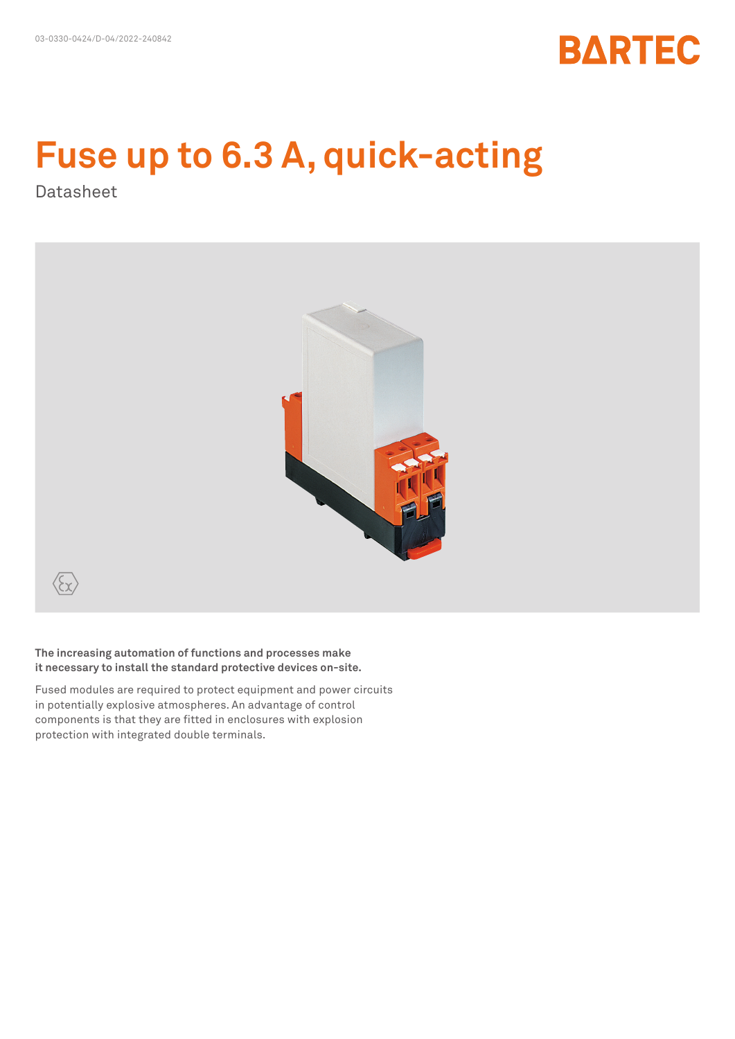

# **Fuse up to 6.3 A, quick-acting**

Datasheet



**The increasing automation of functions and processes make it necessary to install the standard protective devices on-site.** 

Fused modules are required to protect equipment and power circuits in potentially explosive atmospheres. An advantage of control components is that they are fitted in enclosures with explosion protection with integrated double terminals.